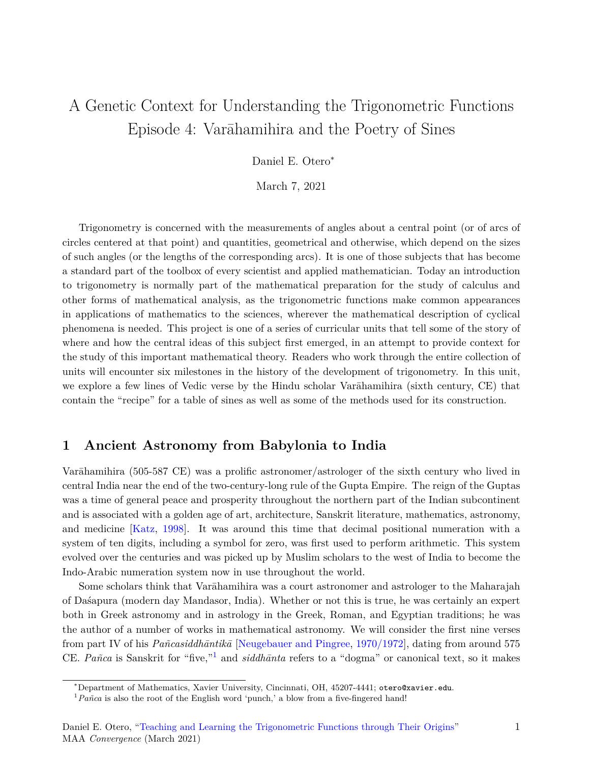# A Genetic Context for Understanding the Trigonometric Functions Episode 4: Varāhamihira and the Poetry of Sines

Daniel E. Otero<sup>∗</sup>

March 7, 2021

Trigonometry is concerned with the measurements of angles about a central point (or of arcs of circles centered at that point) and quantities, geometrical and otherwise, which depend on the sizes of such angles (or the lengths of the corresponding arcs). It is one of those subjects that has become a standard part of the toolbox of every scientist and applied mathematician. Today an introduction to trigonometry is normally part of the mathematical preparation for the study of calculus and other forms of mathematical analysis, as the trigonometric functions make common appearances in applications of mathematics to the sciences, wherever the mathematical description of cyclical phenomena is needed. This project is one of a series of curricular units that tell some of the story of where and how the central ideas of this subject first emerged, in an attempt to provide context for the study of this important mathematical theory. Readers who work through the entire collection of units will encounter six milestones in the history of the development of trigonometry. In this unit, we explore a few lines of Vedic verse by the Hindu scholar Varāhamihira (sixth century, CE) that contain the "recipe" for a table of sines as well as some of the methods used for its construction.

#### **1 Ancient Astronomy from Babylonia to India**

Varāhamihira (505-587 CE) was a prolific astronomer/astrologer of the sixth century who lived in central India near the end of the two-century-long rule of the Gupta Empire. The reign of the Guptas was a time of general peace and prosperity throughout the northern part of the Indian subcontinent and is associated with a golden age of art, architecture, Sanskrit literature, mathematics, astronomy, and medicine [[Katz,](#page-9-0) [1998\]](#page-9-0). It was around this time that decimal positional numeration with a system of ten digits, including a symbol for zero, was first used to perform arithmetic. This system evolved over the centuries and was picked up by Muslim scholars to the west of India to become the Indo-Arabic numeration system now in use throughout the world.

Some scholars think that Varāhamihira was a court astronomer and astrologer to the Maharajah of Daśapura (modern day Mandasor, India). Whether or not this is true, he was certainly an expert both in Greek astronomy and in astrology in the Greek, Roman, and Egyptian traditions; he was the author of a number of works in mathematical astronomy. We will consider the first nine verses from part IV of his *Pañcasiddhāntikā* [\[Neugebauer and Pingree](#page-9-1), [1970/1972\]](#page-9-1), dating from around 575 CE. *Pañca* is Sanskrit for "five,"1 and *siddhānta* refers to a "dogma" or canonical text, so it makes

<sup>∗</sup>Department of Mathematics, Xavier University, Cincinnati, OH, 45207-4441; otero@xavier.edu.

 $1 Pañca$  is also the root of the English word 'punch,' a blow from a five-fingered hand!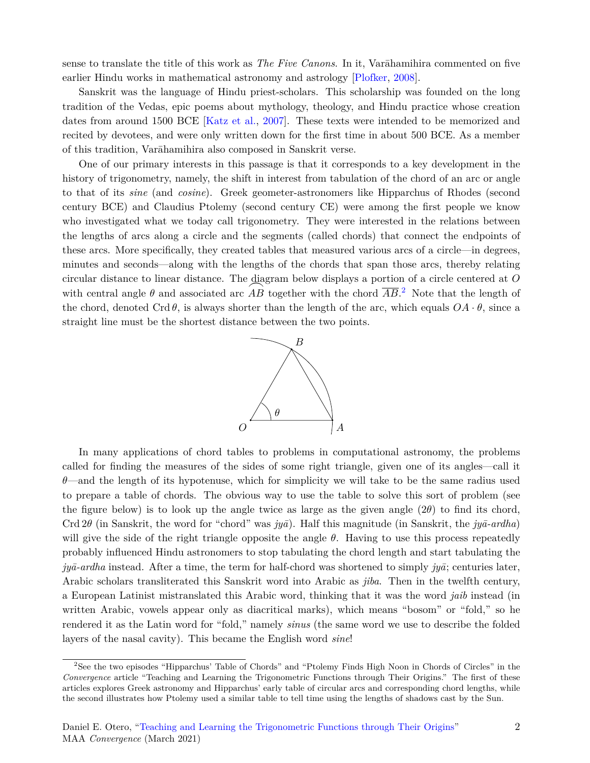sense to translate the title of this work as *The Five Canons*. In it, Varāhamihira commented on five earlier Hindu works in mathematical astronomy and astrology [\[Plofker,](#page-9-2) [2008](#page-9-2)].

Sanskrit was the language of Hindu priest-scholars. This scholarship was founded on the long tradition of the Vedas, epic poems about mythology, theology, and Hindu practice whose creation dates from around 1500 BCE [[Katz et al.,](#page-9-3) [2007\]](#page-9-3). These texts were intended to be memorized and recited by devotees, and were only written down for the first time in about 500 BCE. As a member of this tradition, Varāhamihira also composed in Sanskrit verse.

One of our primary interests in this passage is that it corresponds to a key development in the history of trigonometry, namely, the shift in interest from tabulation of the chord of an arc or angle to that of its *sine* (and *cosine*). Greek geometer-astronomers like Hipparchus of Rhodes (second century BCE) and Claudius Ptolemy (second century CE) were among the first people we know who investigated what we today call trigonometry. They were interested in the relations between the lengths of arcs along a circle and the segments (called chords) that connect the endpoints of these arcs. More specifically, they created tables that measured various arcs of a circle—in degrees, minutes and seconds—along with the lengths of the chords that span those arcs, thereby relating circular distance to linear distance. The diagram below displays a portion of a circle centered at *O* circular distance to linear distance. The diagram below displays a portion of a circle centered at  $O$  with central angle  $\theta$  and associated arc  $\overline{AB}$  together with the chord  $\overline{AB}$ .<sup>2</sup> Note that the length of the chord, denoted Crd  $\theta$ , is always shorter than the length of the arc, which equals  $OA \cdot \theta$ , since a straight line must be the shortest distance between the two points.



In many applications of chord tables to problems in computational astronomy, the problems called for finding the measures of the sides of some right triangle, given one of its angles—call it *θ*—and the length of its hypotenuse, which for simplicity we will take to be the same radius used to prepare a table of chords. The obvious way to use the table to solve this sort of problem (see the figure below) is to look up the angle twice as large as the given angle (2*θ*) to find its chord, Crd 2*θ* (in Sanskrit, the word for "chord" was *jyā*). Half this magnitude (in Sanskrit, the *jyā-ardha*) will give the side of the right triangle opposite the angle *θ*. Having to use this process repeatedly probably influenced Hindu astronomers to stop tabulating the chord length and start tabulating the *jyā-ardha* instead. After a time, the term for half-chord was shortened to simply *jyā*; centuries later, Arabic scholars transliterated this Sanskrit word into Arabic as *jiba*. Then in the twelfth century, a European Latinist mistranslated this Arabic word, thinking that it was the word *jaib* instead (in written Arabic, vowels appear only as diacritical marks), which means "bosom" or "fold," so he rendered it as the Latin word for "fold," namely *sinus* (the same word we use to describe the folded layers of the nasal cavity). This became the English word *sine*!

<sup>2</sup>See the two episodes "Hipparchus' Table of Chords" and "Ptolemy Finds High Noon in Chords of Circles" in the *Convergence* article "Teaching and Learning the Trigonometric Functions through Their Origins." The first of these articles explores Greek astronomy and Hipparchus' early table of circular arcs and corresponding chord lengths, while the second illustrates how Ptolemy used a similar table to tell time using the lengths of shadows cast by the Sun.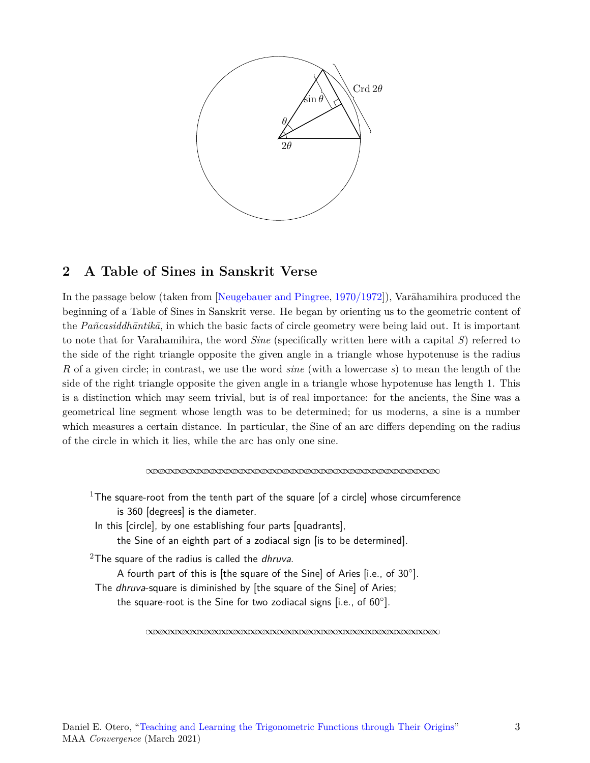

## **2 A Table of Sines in Sanskrit Verse**

In the passage below (taken from [\[Neugebauer and Pingree,](#page-9-1) [1970/1972\]](#page-9-1)), Varāhamihira produced the beginning of a Table of Sines in Sanskrit verse. He began by orienting us to the geometric content of the *Pañcasiddhāntikā*, in which the basic facts of circle geometry were being laid out. It is important to note that for Varāhamihira, the word *Sine* (specifically written here with a capital *S*) referred to the side of the right triangle opposite the given angle in a triangle whose hypotenuse is the radius *R* of a given circle; in contrast, we use the word *sine* (with a lowercase *s*) to mean the length of the side of the right triangle opposite the given angle in a triangle whose hypotenuse has length 1. This is a distinction which may seem trivial, but is of real importance: for the ancients, the Sine was a geometrical line segment whose length was to be determined; for us moderns, a sine is a number which measures a certain distance. In particular, the Sine of an arc differs depending on the radius of the circle in which it lies, while the arc has only one sine.

*∞∞∞∞∞∞∞∞∞∞∞∞∞∞∞∞∞∞∞∞∞∞∞∞∞∞∞∞∞∞∞∞∞∞∞∞∞∞∞∞*

<sup>1</sup>The square-root from the tenth part of the square [of a circle] whose circumference is 360 [degrees] is the diameter. In this [circle], by one establishing four parts [quadrants], the Sine of an eighth part of a zodiacal sign [is to be determined]. <sup>2</sup>The square of the radius is called the *dhruva*. A fourth part of this is [the square of the Sine] of Aries [i.e., of 30*◦* ]. The *dhruva*-square is diminished by [the square of the Sine] of Aries; the square-root is the Sine for two zodiacal signs [i.e., of 60*◦* ].

*∞∞∞∞∞∞∞∞∞∞∞∞∞∞∞∞∞∞∞∞∞∞∞∞∞∞∞∞∞∞∞∞∞∞∞∞∞∞∞∞*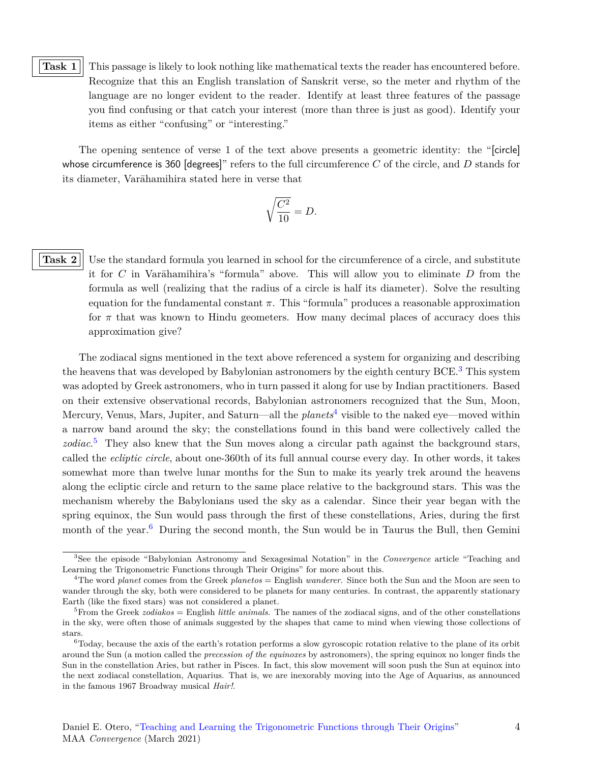#### <span id="page-3-0"></span>**Task 1** This passage is likely to look nothing like mathematical texts the reader has encountered before. Recognize that this an English translation of Sanskrit verse, so the meter and rhythm of the language are no longer evident to the reader. Identify at least three features of the passage you find confusing or that catch your interest (more than three is just as good). Identify your items as either "confusing" or "interesting."

The opening sentence of verse 1 of the text above presents a geometric identity: the "[circle] whose circumference is 360 [degrees]" refers to the full circumference *C* of the circle, and *D* stands for its diameter, Varāhamihira stated here in verse that

$$
\sqrt{\frac{C^2}{10}} = D.
$$

<span id="page-3-1"></span>

**Task 2** Use the standard formula you learned in school for the circumference of a circle, and substitute it for *C* in Varāhamihira's "formula" above. This will allow you to eliminate *D* from the formula as well (realizing that the radius of a circle is half its diameter). Solve the resulting equation for the fundamental constant *π*. This "formula" produces a reasonable approximation for  $\pi$  that was known to Hindu geometers. How many decimal places of accuracy does this approximation give?

The zodiacal signs mentioned in the text above referenced a system for organizing and describing the heavens that was developed by Babylonian astronomers by the eighth century BCE.<sup>3</sup> This system was adopted by Greek astronomers, who in turn passed it along for use by Indian practitioners. Based on their extensive observational records, Babylonian astronomers recognized that the Sun, Moon, Mercury, Venus, Mars, Jupiter, and Saturn—all the *planets*4 visible to the naked eye—moved within a narrow band around the sky; the constellations found in this band were collectively called the *zodiac*. 5 They also knew that the Sun moves along a circular path against the background stars, called the *ecliptic circle*, about one-360th of its full annual course every day. In other words, it takes somewhat more than twelve lunar months for the Sun to make its yearly trek around the heavens along the ecliptic circle and return to the same place relative to the background stars. This was the mechanism whereby the Babylonians used the sky as a calendar. Since their year began with the spring equinox, the Sun would pass through the first of these constellations, Aries, during the first month of the year.<sup>6</sup> During the second month, the Sun would be in Taurus the Bull, then Gemini

<sup>3</sup>See the episode "Babylonian Astronomy and Sexagesimal Notation" in the *Convergence* article "Teaching and Learning the Trigonometric Functions through Their Origins" for more about this.

<sup>4</sup>The word *planet* comes from the Greek *planetos* = English *wanderer*. Since both the Sun and the Moon are seen to wander through the sky, both were considered to be planets for many centuries. In contrast, the apparently stationary Earth (like the fixed stars) was not considered a planet.

<sup>&</sup>lt;sup>5</sup>From the Greek *zodiakos* = English *little animals*. The names of the zodiacal signs, and of the other constellations in the sky, were often those of animals suggested by the shapes that came to mind when viewing those collections of stars.

 ${}^{6}$ Today, because the axis of the earth's rotation performs a slow gyroscopic rotation relative to the plane of its orbit around the Sun (a motion called the *precession of the equinoxes* by astronomers), the spring equinox no longer finds the Sun in the constellation Aries, but rather in Pisces. In fact, this slow movement will soon push the Sun at equinox into the next zodiacal constellation, Aquarius. That is, we are inexorably moving into the Age of Aquarius, as announced in the famous 1967 Broadway musical *Hair!*.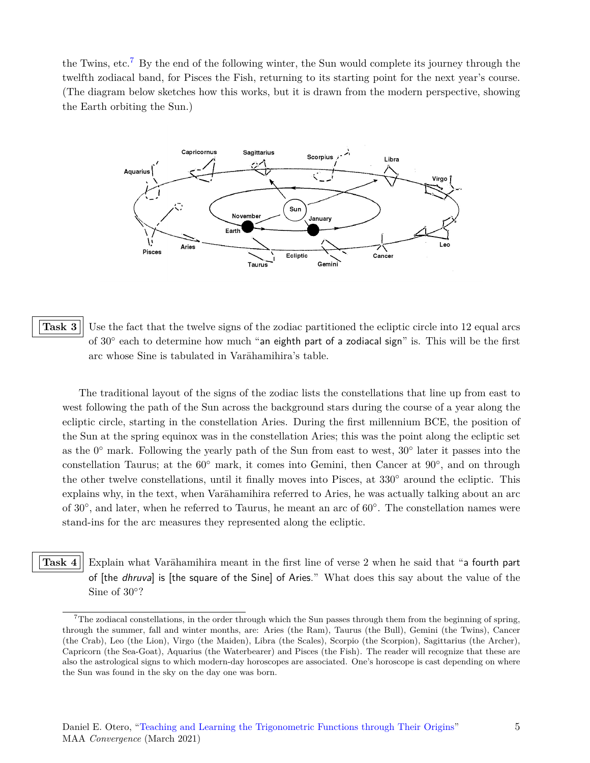the Twins, etc.<sup>7</sup> By the end of the following winter, the Sun would complete its journey through the twelfth zodiacal band, for Pisces the Fish, returning to its starting point for the next year's course. (The diagram below sketches how this works, but it is drawn from the modern perspective, showing the Earth orbiting the Sun.)



<span id="page-4-0"></span>**Task 3** Use the fact that the twelve signs of the zodiac partitioned the ecliptic circle into 12 equal arcs of 30*◦* each to determine how much "an eighth part of a zodiacal sign" is. This will be the first arc whose Sine is tabulated in Varāhamihira's table.

The traditional layout of the signs of the zodiac lists the constellations that line up from east to west following the path of the Sun across the background stars during the course of a year along the ecliptic circle, starting in the constellation Aries. During the first millennium BCE, the position of the Sun at the spring equinox was in the constellation Aries; this was the point along the ecliptic set as the 0*◦* mark. Following the yearly path of the Sun from east to west, 30*◦* later it passes into the constellation Taurus; at the 60*◦* mark, it comes into Gemini, then Cancer at 90*◦* , and on through the other twelve constellations, until it finally moves into Pisces, at 330*◦* around the ecliptic. This explains why, in the text, when Varāhamihira referred to Aries, he was actually talking about an arc of 30*◦* , and later, when he referred to Taurus, he meant an arc of 60*◦* . The constellation names were stand-ins for the arc measures they represented along the ecliptic.

<span id="page-4-1"></span>**Task 4** Explain what Varāhamihira meant in the first line of verse 2 when he said that "a fourth part" of [the *dhruva*] is [the square of the Sine] of Aries." What does this say about the value of the Sine of 30*◦* ?

 $7$ The zodiacal constellations, in the order through which the Sun passes through them from the beginning of spring, through the summer, fall and winter months, are: Aries (the Ram), Taurus (the Bull), Gemini (the Twins), Cancer (the Crab), Leo (the Lion), Virgo (the Maiden), Libra (the Scales), Scorpio (the Scorpion), Sagittarius (the Archer), Capricorn (the Sea-Goat), Aquarius (the Waterbearer) and Pisces (the Fish). The reader will recognize that these are also the astrological signs to which modern-day horoscopes are associated. One's horoscope is cast depending on where the Sun was found in the sky on the day one was born.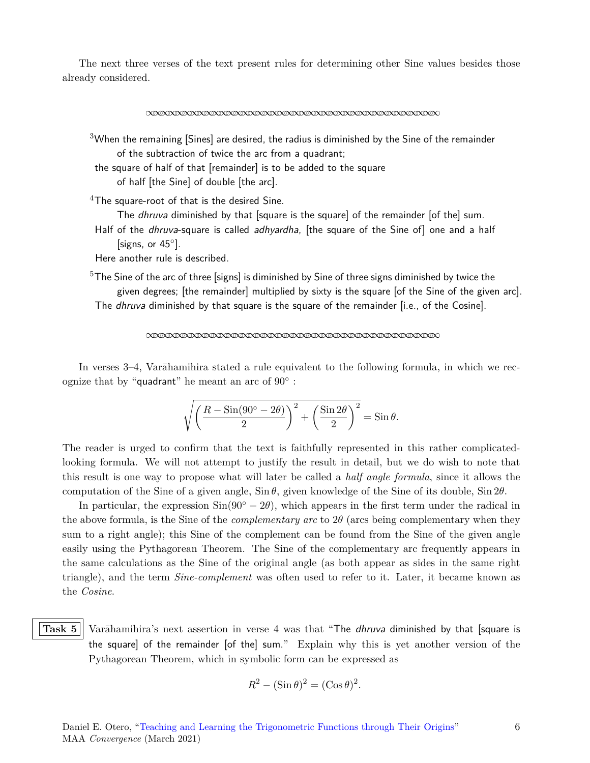The next three verses of the text present rules for determining other Sine values besides those already considered.

*∞∞∞∞∞∞∞∞∞∞∞∞∞∞∞∞∞∞∞∞∞∞∞∞∞∞∞∞∞∞∞∞∞∞∞∞∞∞∞∞*

 $3$ When the remaining [Sines] are desired, the radius is diminished by the Sine of the remainder of the subtraction of twice the arc from a quadrant;

the square of half of that [remainder] is to be added to the square

of half [the Sine] of double [the arc].

 $4$ The square-root of that is the desired Sine.

The *dhruva* diminished by that [square is the square] of the remainder [of the] sum.

Half of the *dhruva*-square is called *adhyardha*, [the square of the Sine of] one and a half [signs, or 45*◦* ].

Here another rule is described.

 $5$ The Sine of the arc of three [signs] is diminished by Sine of three signs diminished by twice the given degrees; [the remainder] multiplied by sixty is the square [of the Sine of the given arc]. The *dhruva* diminished by that square is the square of the remainder [i.e., of the Cosine].

*∞∞∞∞∞∞∞∞∞∞∞∞∞∞∞∞∞∞∞∞∞∞∞∞∞∞∞∞∞∞∞∞∞∞∞∞∞∞∞∞*

In verses 3–4, Varāhamihira stated a rule equivalent to the following formula, in which we recognize that by "quadrant" he meant an arc of 90*◦* :

$$
\sqrt{\left(\frac{R-\sin(90^\circ-2\theta)}{2}\right)^2+\left(\frac{\sin 2\theta}{2}\right)^2}=\sin\theta.
$$

The reader is urged to confirm that the text is faithfully represented in this rather complicatedlooking formula. We will not attempt to justify the result in detail, but we do wish to note that this result is one way to propose what will later be called a *half angle formula*, since it allows the computation of the Sine of a given angle, Sin *θ,* given knowledge of the Sine of its double, Sin 2*θ*.

In particular, the expression  $\sin(90^\circ - 2\theta)$ , which appears in the first term under the radical in the above formula, is the Sine of the *complementary arc* to 2*θ* (arcs being complementary when they sum to a right angle); this Sine of the complement can be found from the Sine of the given angle easily using the Pythagorean Theorem. The Sine of the complementary arc frequently appears in the same calculations as the Sine of the original angle (as both appear as sides in the same right triangle), and the term *Sine-complement* was often used to refer to it. Later, it became known as the *Cosine*.

<span id="page-5-0"></span>Task 5<sup>|</sup> Varāhamihira's next assertion in verse 4 was that "The *dhruva* diminished by that [square is the square] of the remainder [of the] sum." Explain why this is yet another version of the Pythagorean Theorem, which in symbolic form can be expressed as

$$
R^2 - (\sin \theta)^2 = (\cos \theta)^2.
$$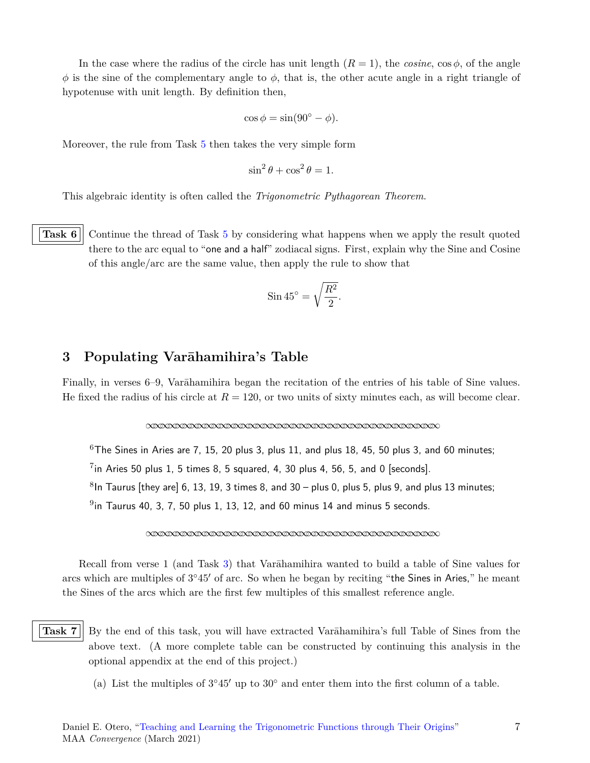In the case where the radius of the circle has unit length  $(R = 1)$ , the *cosine*, cos  $\phi$ , of the angle  $\phi$  is the sine of the complementary angle to  $\phi$ , that is, the other acute angle in a right triangle of hypotenuse with unit length. By definition then,

$$
\cos \phi = \sin(90^\circ - \phi).
$$

Moreover, the rule from Task [5](#page-5-0) then takes the very simple form

$$
\sin^2\theta + \cos^2\theta = 1.
$$

This algebraic identity is often called the *Trigonometric Pythagorean Theorem*.

<span id="page-6-1"></span>**Task 6** Continue the thread of Task [5](#page-5-0) by considering what happens when we apply the result quoted there to the arc equal to "one and a half" zodiacal signs. First, explain why the Sine and Cosine of this angle/arc are the same value, then apply the rule to show that

$$
\sin 45^\circ = \sqrt{\frac{R^2}{2}}
$$

*.*

## **3 Populating Varāhamihira's Table**

Finally, in verses 6–9, Varāhamihira began the recitation of the entries of his table of Sine values. He fixed the radius of his circle at  $R = 120$ , or two units of sixty minutes each, as will become clear.

*∞∞∞∞∞∞∞∞∞∞∞∞∞∞∞∞∞∞∞∞∞∞∞∞∞∞∞∞∞∞∞∞∞∞∞∞∞∞∞∞*

 $6$ The Sines in Aries are 7, 15, 20 plus 3, plus 11, and plus 18, 45, 50 plus 3, and 60 minutes;

 $7$ in Aries 50 plus 1, 5 times 8, 5 squared, 4, 30 plus 4, 56, 5, and 0 [seconds].

 $8$ In Taurus [they are] 6, 13, 19, 3 times 8, and 30 – plus 0, plus 5, plus 9, and plus 13 minutes;

 $^{9}$ in Taurus 40, 3, 7, 50 plus 1, 13, 12, and 60 minus 14 and minus 5 seconds.

*∞∞∞∞∞∞∞∞∞∞∞∞∞∞∞∞∞∞∞∞∞∞∞∞∞∞∞∞∞∞∞∞∞∞∞∞∞∞∞∞*

Recall from verse 1 (and Task [3](#page-4-0)) that Varāhamihira wanted to build a table of Sine values for arcs which are multiples of 3 *◦*45*′* of arc. So when he began by reciting "the Sines in Aries," he meant the Sines of the arcs which are the first few multiples of this smallest reference angle.

<span id="page-6-0"></span>

**Task 7** By the end of this task, you will have extracted Varāhamihira's full Table of Sines from the above text. (A more complete table can be constructed by continuing this analysis in the optional appendix at the end of this project.)

(a) List the multiples of 3 *◦*45*′* up to 30*◦* and enter them into the first column of a table.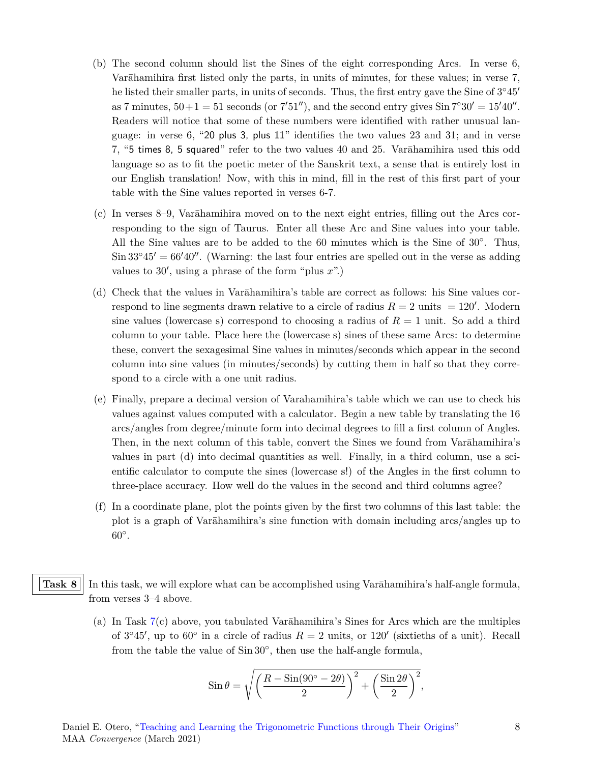- (b) The second column should list the Sines of the eight corresponding Arcs. In verse 6, Varāhamihira first listed only the parts, in units of minutes, for these values; in verse 7, he listed their smaller parts, in units of seconds. Thus, the first entry gave the Sine of 3 *◦*45*′* as 7 minutes,  $50+1 = 51$  seconds (or  $7'51'$ ), and the second entry gives  $\sin 7°30' = 15'40''$ . Readers will notice that some of these numbers were identified with rather unusual language: in verse 6, "20 plus 3, plus 11" identifies the two values 23 and 31; and in verse 7, "5 times 8, 5 squared" refer to the two values 40 and 25. Varāhamihira used this odd language so as to fit the poetic meter of the Sanskrit text, a sense that is entirely lost in our English translation! Now, with this in mind, fill in the rest of this first part of your table with the Sine values reported in verses 6-7.
- (c) In verses 8–9, Varāhamihira moved on to the next eight entries, filling out the Arcs corresponding to the sign of Taurus. Enter all these Arc and Sine values into your table. All the Sine values are to be added to the 60 minutes which is the Sine of 30*◦* . Thus, Sin 33*◦*45*′* = 66*′*40*′′*. (Warning: the last four entries are spelled out in the verse as adding values to 30*′* , using a phrase of the form "plus *x*".)
- (d) Check that the values in Varāhamihira's table are correct as follows: his Sine values correspond to line segments drawn relative to a circle of radius  $R = 2$  units  $= 120'$ . Modern sine values (lowercase s) correspond to choosing a radius of *R* = 1 unit. So add a third column to your table. Place here the (lowercase s) sines of these same Arcs: to determine these, convert the sexagesimal Sine values in minutes/seconds which appear in the second column into sine values (in minutes/seconds) by cutting them in half so that they correspond to a circle with a one unit radius.
- (e) Finally, prepare a decimal version of Varāhamihira's table which we can use to check his values against values computed with a calculator. Begin a new table by translating the 16 arcs/angles from degree/minute form into decimal degrees to fill a first column of Angles. Then, in the next column of this table, convert the Sines we found from Varāhamihira's values in part (d) into decimal quantities as well. Finally, in a third column, use a scientific calculator to compute the sines (lowercase s!) of the Angles in the first column to three-place accuracy. How well do the values in the second and third columns agree?
- (f) In a coordinate plane, plot the points given by the first two columns of this last table: the plot is a graph of Varāhamihira's sine function with domain including arcs/angles up to 60*◦* .

#### <span id="page-7-0"></span>**Task 8** In this task, we will explore what can be accomplished using Varāhamihira's half-angle formula, from verses 3–4 above.

(a) In Task [7](#page-6-0)(c) above, you tabulated Varāhamihira's Sines for Arcs which are the multiples of  $3°45'$ , up to  $60°$  in a circle of radius  $R = 2$  units, or  $120'$  (sixtieths of a unit). Recall from the table the value of Sin 30*◦* , then use the half-angle formula,

$$
\sin \theta = \sqrt{\left(\frac{R - \sin(90^\circ - 2\theta)}{2}\right)^2 + \left(\frac{\sin 2\theta}{2}\right)^2},
$$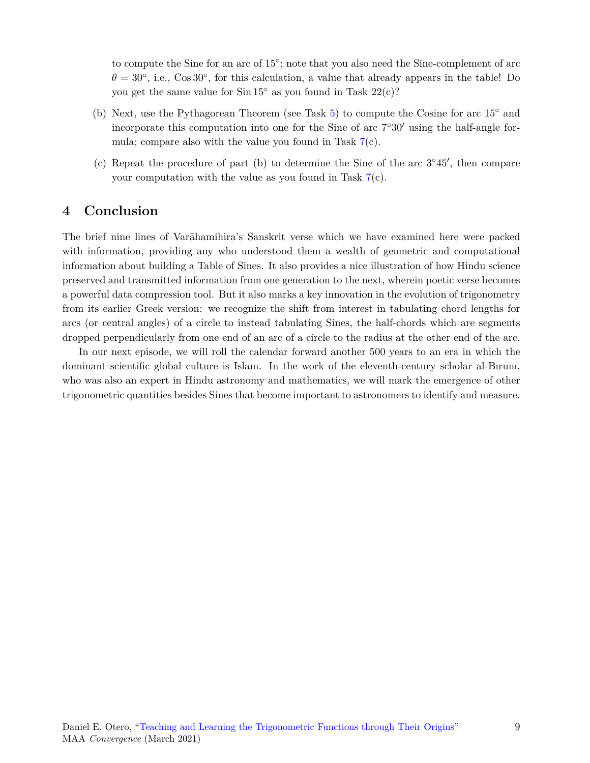to compute the Sine for an arc of 15<sup>°</sup>; note that you also need the Sine-complement of arc  $\theta = 30^{\circ}$ , i.e., Cos 30<sup>°</sup>, for this calculation, a value that already appears in the table! Do you get the same value for Sin 15*◦* as you found in Task 22(c)?

- (b) Next, use the Pythagorean Theorem (see Task [5\)](#page-5-0) to compute the Cosine for arc 15*◦* and incorporate this computation into one for the Sine of arc 7 *◦*30*′* using the half-angle formula; compare also with the value you found in Task  $7(c)$  $7(c)$ .
- (c) Repeat the procedure of part (b) to determine the Sine of the arc 3 *◦*45*′* , then compare your computation with the value as you found in Task [7](#page-6-0)(c).

#### **4 Conclusion**

The brief nine lines of Varāhamihira's Sanskrit verse which we have examined here were packed with information, providing any who understood them a wealth of geometric and computational information about building a Table of Sines. It also provides a nice illustration of how Hindu science preserved and transmitted information from one generation to the next, wherein poetic verse becomes a powerful data compression tool. But it also marks a key innovation in the evolution of trigonometry from its earlier Greek version: we recognize the shift from interest in tabulating chord lengths for arcs (or central angles) of a circle to instead tabulating Sines, the half-chords which are segments dropped perpendicularly from one end of an arc of a circle to the radius at the other end of the arc.

In our next episode, we will roll the calendar forward another 500 years to an era in which the dominant scientific global culture is Islam. In the work of the eleventh-century scholar al-Bīrūnī, who was also an expert in Hindu astronomy and mathematics, we will mark the emergence of other trigonometric quantities besides Sines that become important to astronomers to identify and measure.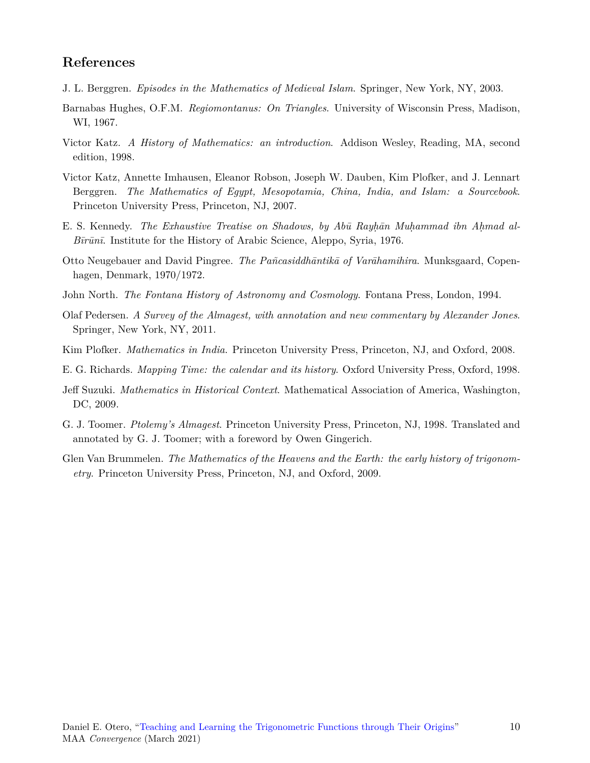## **References**

- J. L. Berggren. *Episodes in the Mathematics of Medieval Islam*. Springer, New York, NY, 2003.
- <span id="page-9-7"></span>Barnabas Hughes, O.F.M. *Regiomontanus: On Triangles*. University of Wisconsin Press, Madison, WI, 1967.
- <span id="page-9-0"></span>Victor Katz. *A History of Mathematics: an introduction*. Addison Wesley, Reading, MA, second edition, 1998.
- <span id="page-9-3"></span>Victor Katz, Annette Imhausen, Eleanor Robson, Joseph W. Dauben, Kim Plofker, and J. Lennart Berggren. *The Mathematics of Egypt, Mesopotamia, China, India, and Islam: a Sourcebook*. Princeton University Press, Princeton, NJ, 2007.
- <span id="page-9-6"></span>E. S. Kennedy. *The Exhaustive Treatise on Shadows, by Abū Rayḥān Muḥammad ibn Aḥmad al-Bīrūnī*. Institute for the History of Arabic Science, Aleppo, Syria, 1976.
- <span id="page-9-1"></span>Otto Neugebauer and David Pingree. *The Pañcasiddhāntikā of Varāhamihira*. Munksgaard, Copenhagen, Denmark, 1970/1972.
- John North. *The Fontana History of Astronomy and Cosmology*. Fontana Press, London, 1994.
- Olaf Pedersen. *A Survey of the Almagest, with annotation and new commentary by Alexander Jones*. Springer, New York, NY, 2011.
- <span id="page-9-2"></span>Kim Plofker. *Mathematics in India*. Princeton University Press, Princeton, NJ, and Oxford, 2008.
- E. G. Richards. *Mapping Time: the calendar and its history*. Oxford University Press, Oxford, 1998.
- Jeff Suzuki. *Mathematics in Historical Context*. Mathematical Association of America, Washington, DC, 2009.
- <span id="page-9-5"></span>G. J. Toomer. *Ptolemy's Almagest*. Princeton University Press, Princeton, NJ, 1998. Translated and annotated by G. J. Toomer; with a foreword by Owen Gingerich.
- <span id="page-9-4"></span>Glen Van Brummelen. *The Mathematics of the Heavens and the Earth: the early history of trigonometry*. Princeton University Press, Princeton, NJ, and Oxford, 2009.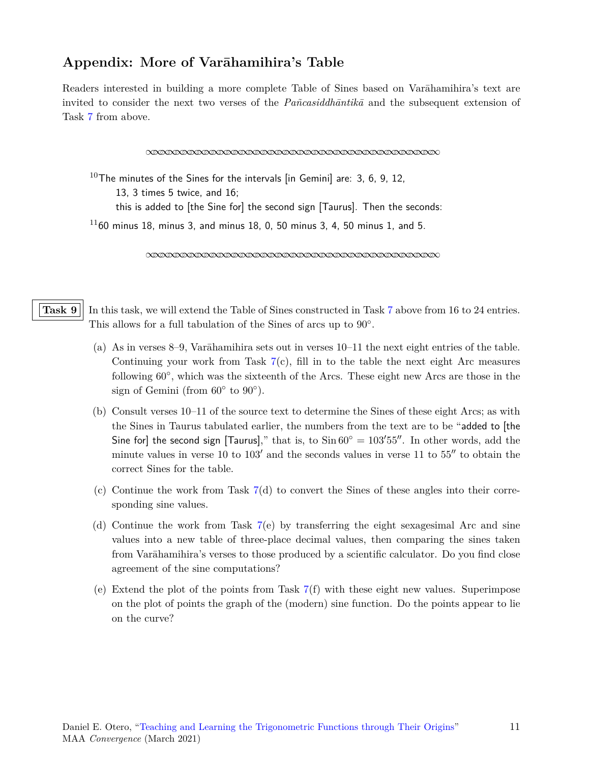## **Appendix: More of Varāhamihira's Table**

Readers interested in building a more complete Table of Sines based on Varāhamihira's text are invited to consider the next two verses of the *Pañcasiddhāntikā* and the subsequent extension of Task [7](#page-6-0) from above.

*∞∞∞∞∞∞∞∞∞∞∞∞∞∞∞∞∞∞∞∞∞∞∞∞∞∞∞∞∞∞∞∞∞∞∞∞∞∞∞∞*

 $10$ The minutes of the Sines for the intervals [in Gemini] are: 3, 6, 9, 12, 13, 3 times 5 twice, and 16; this is added to [the Sine for] the second sign [Taurus]. Then the seconds:  $1160$  minus 18, minus 3, and minus 18, 0, 50 minus 3, 4, 50 minus 1, and 5.

*∞∞∞∞∞∞∞∞∞∞∞∞∞∞∞∞∞∞∞∞∞∞∞∞∞∞∞∞∞∞∞∞∞∞∞∞∞∞∞∞*

<span id="page-10-0"></span>**Task 9** In this task, we will extend the Table of Sines constructed in Task [7](#page-6-0) above from 16 to 24 entries. This allows for a full tabulation of the Sines of arcs up to 90*◦* .

- (a) As in verses 8–9, Varāhamihira sets out in verses 10–11 the next eight entries of the table. Continuing your work from Task  $7(c)$  $7(c)$ , fill in to the table the next eight Arc measures following 60*◦* , which was the sixteenth of the Arcs. These eight new Arcs are those in the sign of Gemini (from 60*◦* to 90*◦* ).
- (b) Consult verses 10–11 of the source text to determine the Sines of these eight Arcs; as with the Sines in Taurus tabulated earlier, the numbers from the text are to be "added to [the Sine for] the second sign [Taurus]," that is, to  $\sin 60^\circ = 103'55''$ . In other words, add the minute values in verse 10 to 103*′* and the seconds values in verse 11 to 55*′′* to obtain the correct Sines for the table.
- (c) Continue the work from Task [7\(](#page-6-0)d) to convert the Sines of these angles into their corresponding sine values.
- (d) Continue the work from Task  $7(e)$  $7(e)$  by transferring the eight sexagesimal Arc and sine values into a new table of three-place decimal values, then comparing the sines taken from Varāhamihira's verses to those produced by a scientific calculator. Do you find close agreement of the sine computations?
- (e) Extend the plot of the points from Task [7\(](#page-6-0)f) with these eight new values. Superimpose on the plot of points the graph of the (modern) sine function. Do the points appear to lie on the curve?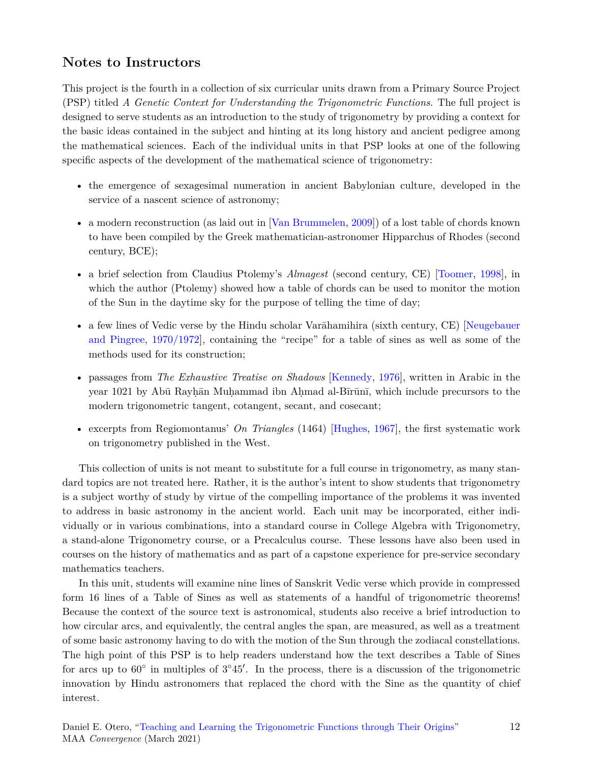## **Notes to Instructors**

This project is the fourth in a collection of six curricular units drawn from a Primary Source Project (PSP) titled *A Genetic Context for Understanding the Trigonometric Functions*. The full project is designed to serve students as an introduction to the study of trigonometry by providing a context for the basic ideas contained in the subject and hinting at its long history and ancient pedigree among the mathematical sciences. Each of the individual units in that PSP looks at one of the following specific aspects of the development of the mathematical science of trigonometry:

- the emergence of sexagesimal numeration in ancient Babylonian culture, developed in the service of a nascent science of astronomy;
- a modern reconstruction (as laid out in [[Van Brummelen,](#page-9-4) [2009\]](#page-9-4)) of a lost table of chords known to have been compiled by the Greek mathematician-astronomer Hipparchus of Rhodes (second century, BCE);
- a brief selection from Claudius Ptolemy's *Almagest* (second century, CE) [[Toomer](#page-9-5), [1998](#page-9-5)], in which the author (Ptolemy) showed how a table of chords can be used to monitor the motion of the Sun in the daytime sky for the purpose of telling the time of day;
- a few lines of Vedic verse by the Hindu scholar Varāhamihira (sixth century, CE) [[Neugebauer](#page-9-1) [and Pingree](#page-9-1), [1970/1972\]](#page-9-1), containing the "recipe" for a table of sines as well as some of the methods used for its construction;
- passages from *The Exhaustive Treatise on Shadows* [\[Kennedy](#page-9-6), [1976\]](#page-9-6), written in Arabic in the year 1021 by Abū Rayhān Muhammad ibn Ahmad al-Bīrūnī, which include precursors to the modern trigonometric tangent, cotangent, secant, and cosecant;
- excerpts from Regiomontanus' *On Triangles* (1464) [\[Hughes](#page-9-7), [1967](#page-9-7)], the first systematic work on trigonometry published in the West.

This collection of units is not meant to substitute for a full course in trigonometry, as many standard topics are not treated here. Rather, it is the author's intent to show students that trigonometry is a subject worthy of study by virtue of the compelling importance of the problems it was invented to address in basic astronomy in the ancient world. Each unit may be incorporated, either individually or in various combinations, into a standard course in College Algebra with Trigonometry, a stand-alone Trigonometry course, or a Precalculus course. These lessons have also been used in courses on the history of mathematics and as part of a capstone experience for pre-service secondary mathematics teachers.

In this unit, students will examine nine lines of Sanskrit Vedic verse which provide in compressed form 16 lines of a Table of Sines as well as statements of a handful of trigonometric theorems! Because the context of the source text is astronomical, students also receive a brief introduction to how circular arcs, and equivalently, the central angles the span, are measured, as well as a treatment of some basic astronomy having to do with the motion of the Sun through the zodiacal constellations. The high point of this PSP is to help readers understand how the text describes a Table of Sines for arcs up to  $60^{\circ}$  in multiples of  $3^{\circ}45'$ . In the process, there is a discussion of the trigonometric innovation by Hindu astronomers that replaced the chord with the Sine as the quantity of chief interest.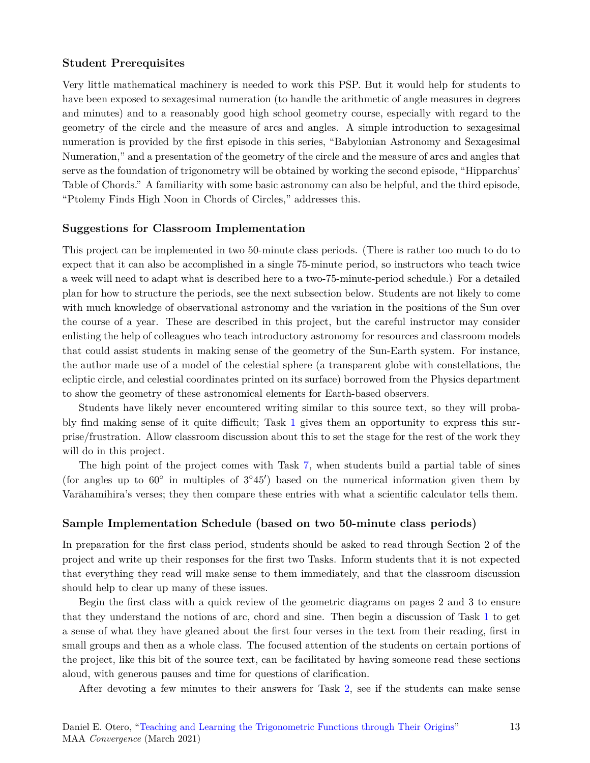#### **Student Prerequisites**

Very little mathematical machinery is needed to work this PSP. But it would help for students to have been exposed to sexagesimal numeration (to handle the arithmetic of angle measures in degrees and minutes) and to a reasonably good high school geometry course, especially with regard to the geometry of the circle and the measure of arcs and angles. A simple introduction to sexagesimal numeration is provided by the first episode in this series, "Babylonian Astronomy and Sexagesimal Numeration," and a presentation of the geometry of the circle and the measure of arcs and angles that serve as the foundation of trigonometry will be obtained by working the second episode, "Hipparchus' Table of Chords." A familiarity with some basic astronomy can also be helpful, and the third episode, "Ptolemy Finds High Noon in Chords of Circles," addresses this.

#### **Suggestions for Classroom Implementation**

This project can be implemented in two 50-minute class periods. (There is rather too much to do to expect that it can also be accomplished in a single 75-minute period, so instructors who teach twice a week will need to adapt what is described here to a two-75-minute-period schedule.) For a detailed plan for how to structure the periods, see the next subsection below. Students are not likely to come with much knowledge of observational astronomy and the variation in the positions of the Sun over the course of a year. These are described in this project, but the careful instructor may consider enlisting the help of colleagues who teach introductory astronomy for resources and classroom models that could assist students in making sense of the geometry of the Sun-Earth system. For instance, the author made use of a model of the celestial sphere (a transparent globe with constellations, the ecliptic circle, and celestial coordinates printed on its surface) borrowed from the Physics department to show the geometry of these astronomical elements for Earth-based observers.

Students have likely never encountered writing similar to this source text, so they will probably find making sense of it quite difficult; Task [1](#page-3-0) gives them an opportunity to express this surprise/frustration. Allow classroom discussion about this to set the stage for the rest of the work they will do in this project.

The high point of the project comes with Task [7,](#page-6-0) when students build a partial table of sines (for angles up to 60*◦* in multiples of 3 *◦*45*′* ) based on the numerical information given them by Varāhamihira's verses; they then compare these entries with what a scientific calculator tells them.

#### **Sample Implementation Schedule (based on two 50-minute class periods)**

In preparation for the first class period, students should be asked to read through Section 2 of the project and write up their responses for the first two Tasks. Inform students that it is not expected that everything they read will make sense to them immediately, and that the classroom discussion should help to clear up many of these issues.

Begin the first class with a quick review of the geometric diagrams on pages 2 and 3 to ensure that they understand the notions of arc, chord and sine. Then begin a discussion of Task [1](#page-3-0) to get a sense of what they have gleaned about the first four verses in the text from their reading, first in small groups and then as a whole class. The focused attention of the students on certain portions of the project, like this bit of the source text, can be facilitated by having someone read these sections aloud, with generous pauses and time for questions of clarification.

After devoting a few minutes to their answers for Task [2,](#page-3-1) see if the students can make sense